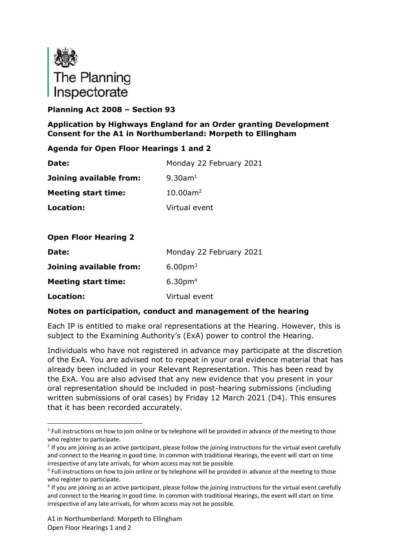

# **Planning Act 2008 – Section 93**

## **Application by Highways England for an Order granting Development Consent for the A1 in Northumberland: Morpeth to Ellingham**

## **Agenda for Open Floor Hearings 1 and 2**

| Date:                      | Monday 22 February 2021 |
|----------------------------|-------------------------|
| Joining available from:    | $9.30$ am <sup>1</sup>  |
| <b>Meeting start time:</b> | $10.00$ am <sup>2</sup> |
| Location:                  | Virtual event           |

## **Open Floor Hearing 2**

| Date:                      | Monday 22 February 2021 |
|----------------------------|-------------------------|
| Joining available from:    | 6.00 <sub>pm3</sub>     |
| <b>Meeting start time:</b> | 6.30 <sub>pm4</sub>     |
| Location:                  | Virtual event           |

#### **Notes on participation, conduct and management of the hearing**

Each IP is entitled to make oral representations at the Hearing. However, this is subject to the Examining Authority's (ExA) power to control the Hearing.

Individuals who have not registered in advance may participate at the discretion of the ExA. You are advised not to repeat in your oral evidence material that has already been included in your Relevant Representation. This has been read by the ExA. You are also advised that any new evidence that you present in your oral representation should be included in post-hearing submissions (including written submissions of oral cases) by Friday 12 March 2021 (D4). This ensures that it has been recorded accurately.

<sup>&</sup>lt;sup>1</sup> Full instructions on how to join online or by telephone will be provided in advance of the meeting to those who register to participate.

 $2$  If you are joining as an active participant, please follow the joining instructions for the virtual event carefully and connect to the Hearing in good time. In common with traditional Hearings, the event will start on time irrespective of any late arrivals, for whom access may not be possible.

<sup>&</sup>lt;sup>3</sup> Full instructions on how to join online or by telephone will be provided in advance of the meeting to those who register to participate.

<sup>&</sup>lt;sup>4</sup> If you are joining as an active participant, please follow the joining instructions for the virtual event carefully and connect to the Hearing in good time. In common with traditional Hearings, the event will start on time irrespective of any late arrivals, for whom access may not be possible.